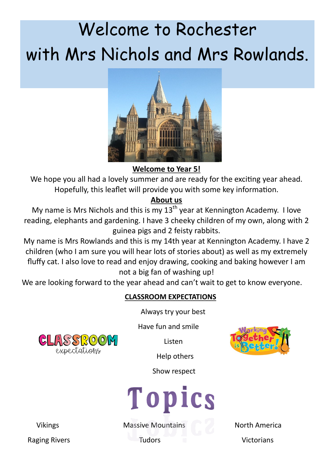# Welcome to Rochester with Mrs Nichols and Mrs Rowlands.



**Welcome to Year 5!**

We hope you all had a lovely summer and are ready for the exciting year ahead. Hopefully, this leaflet will provide you with some key information.

## **About us**

My name is Mrs Nichols and this is  $\overline{my\ 13}^{th}$  year at Kennington Academy. I love reading, elephants and gardening. I have 3 cheeky children of my own, along with 2 guinea pigs and 2 feisty rabbits.

My name is Mrs Rowlands and this is my 14th year at Kennington Academy. I have 2 children (who I am sure you will hear lots of stories about) as well as my extremely fluffy cat. I also love to read and enjoy drawing, cooking and baking however I am not a big fan of washing up!

We are looking forward to the year ahead and can't wait to get to know everyone.

## **CLASSROOM EXPECTATIONS**

Always try your best

Have fun and smile

**Listen** 

Help others

Show respect



Topics

Vikings Massive Mountains North America

Raging Rivers **Tudors Tudors Tudors Victorians**